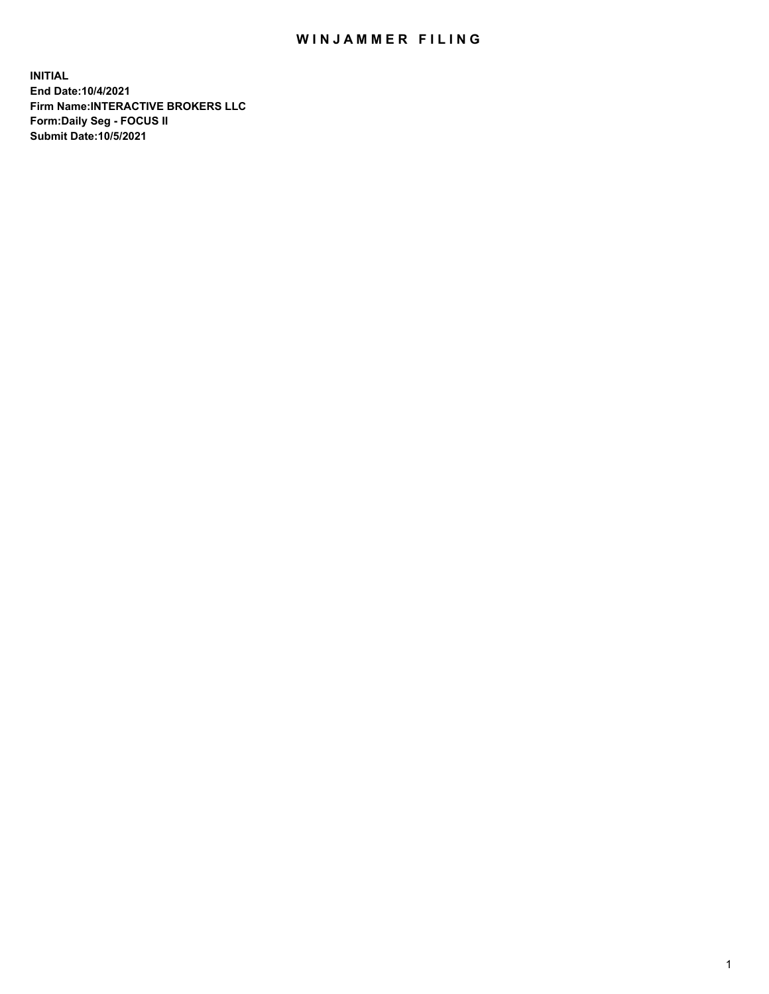## WIN JAMMER FILING

**INITIAL End Date:10/4/2021 Firm Name:INTERACTIVE BROKERS LLC Form:Daily Seg - FOCUS II Submit Date:10/5/2021**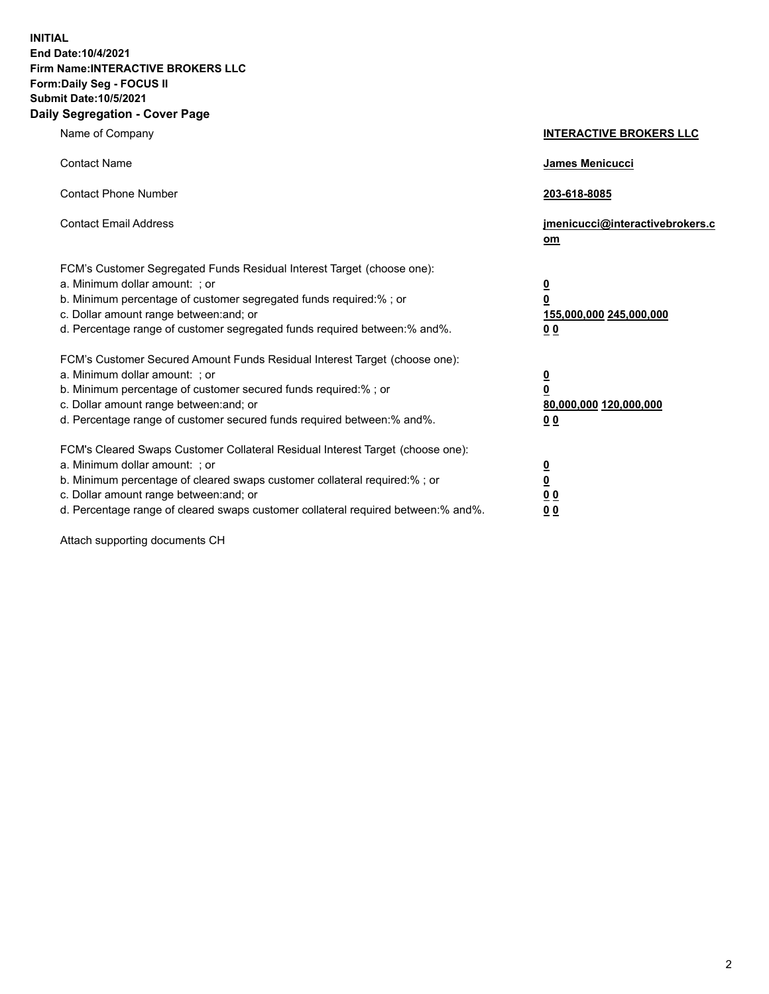**INITIAL End Date:10/4/2021 Firm Name:INTERACTIVE BROKERS LLC Form:Daily Seg - FOCUS II Submit Date:10/5/2021 Daily Segregation - Cover Page**

| Name of Company                                                                                                                                                                                                                                                                                                               | <b>INTERACTIVE BROKERS LLC</b>                                                            |  |
|-------------------------------------------------------------------------------------------------------------------------------------------------------------------------------------------------------------------------------------------------------------------------------------------------------------------------------|-------------------------------------------------------------------------------------------|--|
| <b>Contact Name</b>                                                                                                                                                                                                                                                                                                           | James Menicucci                                                                           |  |
| <b>Contact Phone Number</b>                                                                                                                                                                                                                                                                                                   | 203-618-8085                                                                              |  |
| <b>Contact Email Address</b>                                                                                                                                                                                                                                                                                                  | jmenicucci@interactivebrokers.c<br><u>om</u>                                              |  |
| FCM's Customer Segregated Funds Residual Interest Target (choose one):<br>a. Minimum dollar amount: ; or<br>b. Minimum percentage of customer segregated funds required:% ; or<br>c. Dollar amount range between: and; or<br>d. Percentage range of customer segregated funds required between: % and %.                      | $\overline{\mathbf{0}}$<br>0<br>155,000,000 245,000,000<br>0 <sub>0</sub>                 |  |
| FCM's Customer Secured Amount Funds Residual Interest Target (choose one):<br>a. Minimum dollar amount: ; or<br>b. Minimum percentage of customer secured funds required:%; or<br>c. Dollar amount range between: and; or<br>d. Percentage range of customer secured funds required between:% and%.                           | <u>0</u><br>$\overline{\mathbf{0}}$<br>80,000,000 120,000,000<br>00                       |  |
| FCM's Cleared Swaps Customer Collateral Residual Interest Target (choose one):<br>a. Minimum dollar amount: ; or<br>b. Minimum percentage of cleared swaps customer collateral required:%; or<br>c. Dollar amount range between: and; or<br>d. Percentage range of cleared swaps customer collateral required between:% and%. | <u>0</u><br>$\underline{\mathbf{0}}$<br>$\underline{0}$ $\underline{0}$<br>0 <sub>0</sub> |  |

Attach supporting documents CH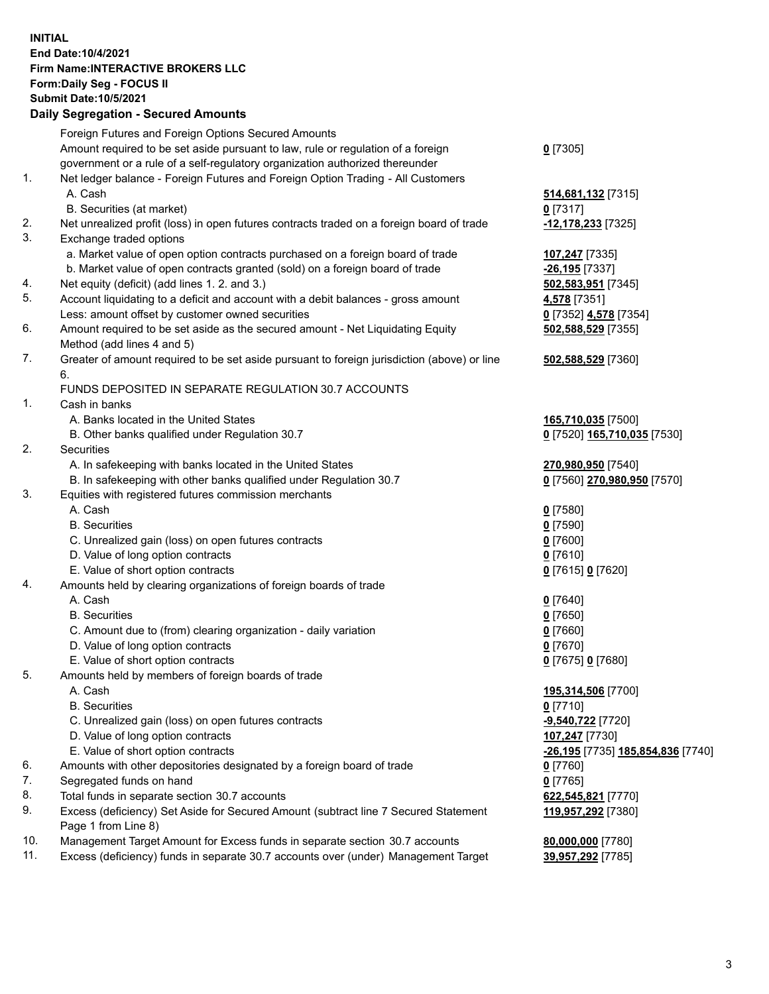**INITIAL End Date:10/4/2021 Firm Name:INTERACTIVE BROKERS LLC Form:Daily Seg - FOCUS II Submit Date:10/5/2021 Daily Segregation - Secured Amounts**

## Foreign Futures and Foreign Options Secured Amounts Amount required to be set aside pursuant to law, rule or regulation of a foreign government or a rule of a self-regulatory organization authorized thereunder **0** [7305] 1. Net ledger balance - Foreign Futures and Foreign Option Trading - All Customers A. Cash **514,681,132** [7315] B. Securities (at market) **0** [7317] 2. Net unrealized profit (loss) in open futures contracts traded on a foreign board of trade **-12,178,233** [7325] 3. Exchange traded options a. Market value of open option contracts purchased on a foreign board of trade **107,247** [7335] b. Market value of open contracts granted (sold) on a foreign board of trade **-26,195** [7337] 4. Net equity (deficit) (add lines 1. 2. and 3.) **502,583,951** [7345] 5. Account liquidating to a deficit and account with a debit balances - gross amount **4,578** [7351] Less: amount offset by customer owned securities **0** [7352] **4,578** [7354] 6. Amount required to be set aside as the secured amount - Net Liquidating Equity Method (add lines 4 and 5) **502,588,529** [7355] 7. Greater of amount required to be set aside pursuant to foreign jurisdiction (above) or line 6. **502,588,529** [7360] FUNDS DEPOSITED IN SEPARATE REGULATION 30.7 ACCOUNTS 1. Cash in banks A. Banks located in the United States **165,710,035** [7500] B. Other banks qualified under Regulation 30.7 **0** [7520] **165,710,035** [7530] 2. Securities A. In safekeeping with banks located in the United States **270,980,950** [7540] B. In safekeeping with other banks qualified under Regulation 30.7 **0** [7560] **270,980,950** [7570] 3. Equities with registered futures commission merchants A. Cash **0** [7580] B. Securities **0** [7590] C. Unrealized gain (loss) on open futures contracts **0** [7600] D. Value of long option contracts **0** [7610] E. Value of short option contracts **0** [7615] **0** [7620] 4. Amounts held by clearing organizations of foreign boards of trade A. Cash **0** [7640] B. Securities **0** [7650] C. Amount due to (from) clearing organization - daily variation **0** [7660] D. Value of long option contracts **0** [7670] E. Value of short option contracts **0** [7675] **0** [7680] 5. Amounts held by members of foreign boards of trade A. Cash **195,314,506** [7700] B. Securities **0** [7710] C. Unrealized gain (loss) on open futures contracts **-9,540,722** [7720] D. Value of long option contracts **107,247** [7730] E. Value of short option contracts **-26,195** [7735] **185,854,836** [7740] 6. Amounts with other depositories designated by a foreign board of trade **0** [7760] 7. Segregated funds on hand **0** [7765] 8. Total funds in separate section 30.7 accounts **622,545,821** [7770] 9. Excess (deficiency) Set Aside for Secured Amount (subtract line 7 Secured Statement Page 1 from Line 8) **119,957,292** [7380] 10. Management Target Amount for Excess funds in separate section 30.7 accounts **80,000,000** [7780] 11. Excess (deficiency) funds in separate 30.7 accounts over (under) Management Target **39,957,292** [7785]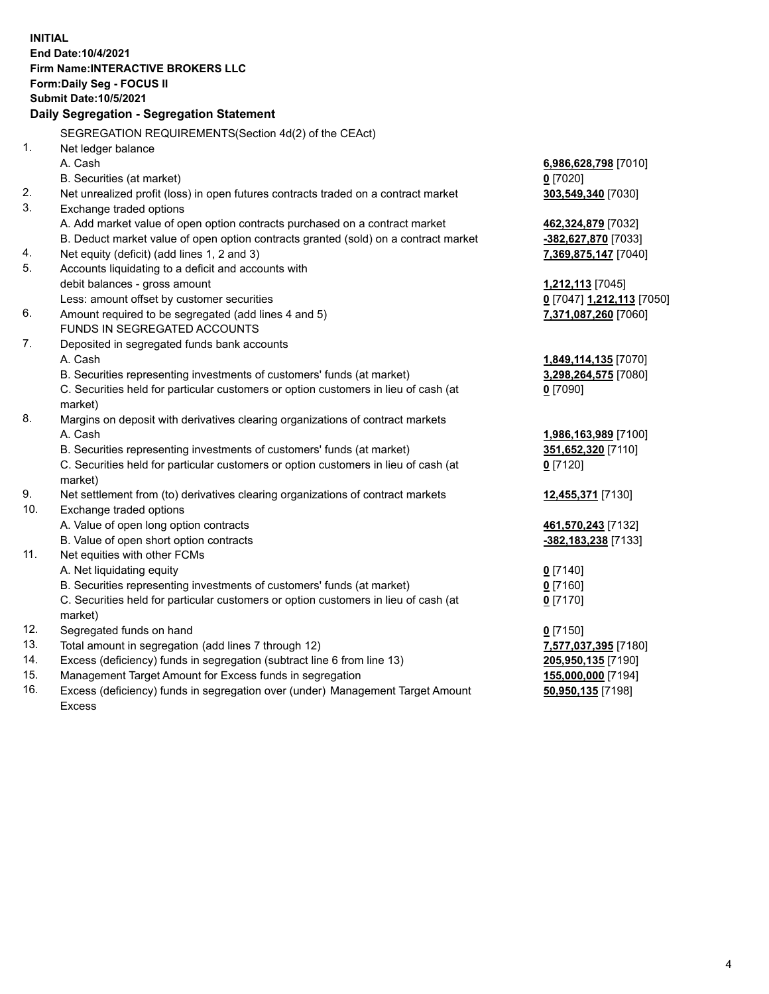**INITIAL End Date:10/4/2021 Firm Name:INTERACTIVE BROKERS LLC Form:Daily Seg - FOCUS II Submit Date:10/5/2021 Daily Segregation - Segregation Statement** SEGREGATION REQUIREMENTS(Section 4d(2) of the CEAct) 1. Net ledger balance A. Cash **6,986,628,798** [7010] B. Securities (at market) **0** [7020] 2. Net unrealized profit (loss) in open futures contracts traded on a contract market **303,549,340** [7030] 3. Exchange traded options A. Add market value of open option contracts purchased on a contract market **462,324,879** [7032] B. Deduct market value of open option contracts granted (sold) on a contract market **-382,627,870** [7033] 4. Net equity (deficit) (add lines 1, 2 and 3) **7,369,875,147** [7040] 5. Accounts liquidating to a deficit and accounts with debit balances - gross amount **1,212,113** [7045] Less: amount offset by customer securities **0** [7047] **1,212,113** [7050] 6. Amount required to be segregated (add lines 4 and 5) **7,371,087,260** [7060] FUNDS IN SEGREGATED ACCOUNTS 7. Deposited in segregated funds bank accounts A. Cash **1,849,114,135** [7070] B. Securities representing investments of customers' funds (at market) **3,298,264,575** [7080] C. Securities held for particular customers or option customers in lieu of cash (at market) **0** [7090] 8. Margins on deposit with derivatives clearing organizations of contract markets A. Cash **1,986,163,989** [7100] B. Securities representing investments of customers' funds (at market) **351,652,320** [7110] C. Securities held for particular customers or option customers in lieu of cash (at market) **0** [7120] 9. Net settlement from (to) derivatives clearing organizations of contract markets **12,455,371** [7130] 10. Exchange traded options A. Value of open long option contracts **461,570,243** [7132] B. Value of open short option contracts **-382,183,238** [7133] 11. Net equities with other FCMs A. Net liquidating equity **0** [7140] B. Securities representing investments of customers' funds (at market) **0** [7160] C. Securities held for particular customers or option customers in lieu of cash (at market) **0** [7170] 12. Segregated funds on hand **0** [7150] 13. Total amount in segregation (add lines 7 through 12) **7,577,037,395** [7180] 14. Excess (deficiency) funds in segregation (subtract line 6 from line 13) **205,950,135** [7190] 15. Management Target Amount for Excess funds in segregation **155,000,000** [7194] **50,950,135** [7198]

16. Excess (deficiency) funds in segregation over (under) Management Target Amount Excess